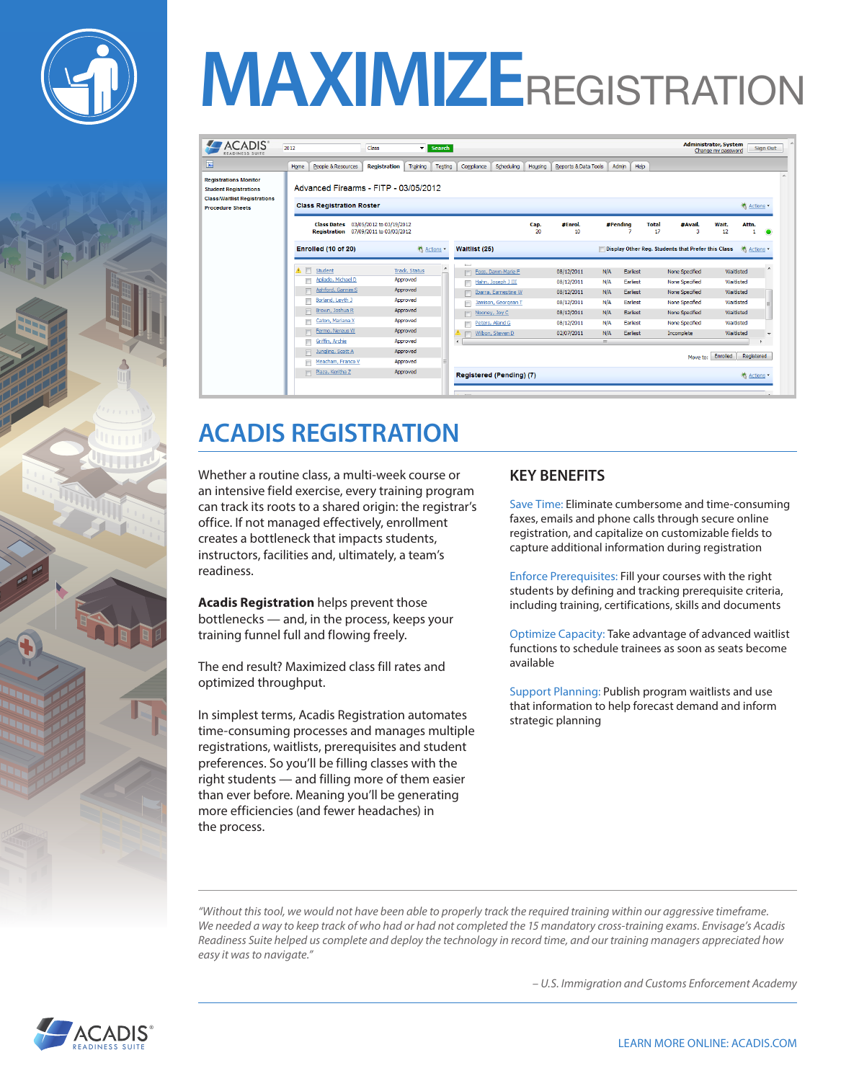



# **MAXIMIZE**REGISTRATION

|                                                                                                                                | People & Resources<br>Home                                                             | <b>Registration</b> | Training             | Testing | Compliance       | Scheduling           | Housing    | <b>Reports &amp; Data Tools</b> |                | Help<br>Admin   |                    |                                                    |                      |                  |
|--------------------------------------------------------------------------------------------------------------------------------|----------------------------------------------------------------------------------------|---------------------|----------------------|---------|------------------|----------------------|------------|---------------------------------|----------------|-----------------|--------------------|----------------------------------------------------|----------------------|------------------|
| <b>Registrations Monitor</b><br><b>Student Registrations</b><br><b>Class/Waitlist Registrations</b><br><b>Procedure Sheets</b> | Advanced Firearms - FITP - 03/05/2012<br><b>Class Registration Roster</b><br>养 Actions |                     |                      |         |                  |                      |            |                                 |                |                 |                    |                                                    |                      |                  |
|                                                                                                                                | Class Dates 03/05/2012 to 03/19/2012<br>Registration 07/09/2011 to 03/03/2012          |                     |                      |         |                  |                      | Cap.<br>20 | #Enrol.<br>10                   |                | #Pending<br>7   | <b>Total</b><br>17 | #Avail.<br>3                                       | Wait.<br>Attn.<br>12 | ۰                |
|                                                                                                                                | Enrolled (10 of 20)                                                                    |                     | 养 Actions *          |         | Waitlist (25)    |                      |            |                                 |                |                 |                    | Display Other Req. Students that Prefer this Class |                      | <b>类 Actions</b> |
|                                                                                                                                | ٨<br>Student                                                                           |                     | <b>Track. Status</b> |         | $\sim$<br>$\Box$ | Foss, Dawn-Marie F   |            | 08/12/2011                      | N/A            | Earliest        |                    | None Specified                                     | Waitlisted           |                  |
|                                                                                                                                | Apilado, Michael D                                                                     |                     | Approved             |         |                  | Hahn, Joseph J III   |            | 08/12/2011                      | N/A            | Earliest        |                    | None Specified                                     | Waitlisted           |                  |
|                                                                                                                                | Ashford, Gannim S                                                                      |                     | Approved             |         | m                | Ibarra, Earnestine W |            | 08/12/2011                      | N/A            | Earliest        |                    | None Specified                                     | Waitlisted           |                  |
|                                                                                                                                | Borland, Leyth J                                                                       |                     | Approved             |         |                  | Jamison, Georgean T  |            | 08/12/2011                      | N/A            | Earliest        |                    | None Specified                                     | Waitlisted           |                  |
|                                                                                                                                |                                                                                        |                     |                      |         | n                | Nooney, Joy C        |            | 08/12/2011                      | N/A            | Earliest        |                    | None Specified                                     | Waitlisted           |                  |
|                                                                                                                                | Brown, Joshua R                                                                        |                     | Approved             |         |                  |                      |            |                                 |                |                 |                    |                                                    |                      |                  |
|                                                                                                                                | Caton, Mariana X                                                                       |                     | Approved             |         |                  | Peters, Aland G      |            | 08/12/2011                      | N/A            | Earliest        |                    | None Specified                                     | Waitlisted           |                  |
|                                                                                                                                | Fermo, Nereus W                                                                        |                     | Approved             |         |                  | Wilbon, Steven D     |            | 02/07/2011                      | N/A            | <b>Earliest</b> |                    | Incomplete                                         | Waitlisted           |                  |
|                                                                                                                                | Griffin, Archie                                                                        |                     | Approved             |         | $\epsilon$       |                      |            |                                 | $\mathbf{H}$ . |                 |                    |                                                    |                      |                  |
|                                                                                                                                | Jungling, Scott A<br>$\Box$<br>Meacham, Franco V                                       |                     | Approved<br>Approved |         |                  |                      |            |                                 |                |                 |                    | Move to:                                           | Enrolled             | Registered       |

### **ACADIS REGISTRATION**

Whether a routine class, a multi-week course or an intensive field exercise, every training program can track its roots to a shared origin: the registrar's office. If not managed effectively, enrollment creates a bottleneck that impacts students, instructors, facilities and, ultimately, a team's readiness.

**Acadis Registration** helps prevent those bottlenecks — and, in the process, keeps your training funnel full and flowing freely.

The end result? Maximized class fill rates and optimized throughput.

In simplest terms, Acadis Registration automates time-consuming processes and manages multiple registrations, waitlists, prerequisites and student preferences. So you'll be filling classes with the right students — and filling more of them easier than ever before. Meaning you'll be generating more efficiencies (and fewer headaches) in the process.

#### **KEY BENEFITS**

Save Time: Eliminate cumbersome and time-consuming faxes, emails and phone calls through secure online registration, and capitalize on customizable fields to capture additional information during registration

Enforce Prerequisites: Fill your courses with the right students by defining and tracking prerequisite criteria, including training, certifications, skills and documents

Optimize Capacity: Take advantage of advanced waitlist functions to schedule trainees as soon as seats become available

Support Planning: Publish program waitlists and use that information to help forecast demand and inform strategic planning

*"Without this tool, we would not have been able to properly track the required training within our aggressive timeframe. We needed a way to keep track of who had or had not completed the 15 mandatory cross-training exams. Envisage's Acadis Readiness Suite helped us complete and deploy the technology in record time, and our training managers appreciated how easy it was to navigate."*

 *– U.S. Immigration and Customs Enforcement Academy*